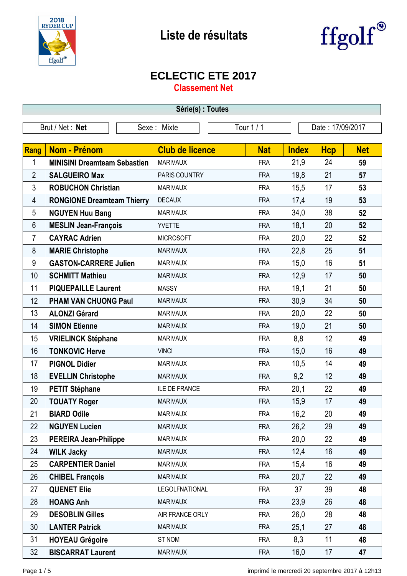



## **ECLECTIC ETE 2017**

**Classement Net**

| Série(s) : Toutes                                                |                                     |                        |            |              |            |            |
|------------------------------------------------------------------|-------------------------------------|------------------------|------------|--------------|------------|------------|
| Tour 1 / 1<br>Date: 17/09/2017<br>Brut / Net: Net<br>Sexe: Mixte |                                     |                        |            |              |            |            |
| <b>Rang</b>                                                      | <b>Nom - Prénom</b>                 | <b>Club de licence</b> | <b>Nat</b> | <b>Index</b> | <b>Hcp</b> | <b>Net</b> |
| 1                                                                | <b>MINISINI Dreamteam Sebastien</b> | <b>MARIVAUX</b>        | <b>FRA</b> | 21,9         | 24         | 59         |
| $\overline{2}$                                                   | <b>SALGUEIRO Max</b>                | PARIS COUNTRY          | <b>FRA</b> | 19,8         | 21         | 57         |
| 3                                                                | <b>ROBUCHON Christian</b>           | <b>MARIVAUX</b>        | <b>FRA</b> | 15,5         | 17         | 53         |
| 4                                                                | <b>RONGIONE Dreamteam Thierry</b>   | <b>DECAUX</b>          | <b>FRA</b> | 17,4         | 19         | 53         |
| 5                                                                | <b>NGUYEN Huu Bang</b>              | <b>MARIVAUX</b>        | <b>FRA</b> | 34,0         | 38         | 52         |
| 6                                                                | <b>MESLIN Jean-François</b>         | <b>YVETTE</b>          | <b>FRA</b> | 18,1         | 20         | 52         |
| $\overline{7}$                                                   | <b>CAYRAC Adrien</b>                | <b>MICROSOFT</b>       | <b>FRA</b> | 20,0         | 22         | 52         |
| 8                                                                | <b>MARIE Christophe</b>             | <b>MARIVAUX</b>        | <b>FRA</b> | 22,8         | 25         | 51         |
| 9                                                                | <b>GASTON-CARRERE Julien</b>        | <b>MARIVAUX</b>        | <b>FRA</b> | 15,0         | 16         | 51         |
| 10                                                               | <b>SCHMITT Mathieu</b>              | <b>MARIVAUX</b>        | <b>FRA</b> | 12,9         | 17         | 50         |
| 11                                                               | <b>PIQUEPAILLE Laurent</b>          | <b>MASSY</b>           | <b>FRA</b> | 19,1         | 21         | 50         |
| 12                                                               | <b>PHAM VAN CHUONG Paul</b>         | <b>MARIVAUX</b>        | <b>FRA</b> | 30,9         | 34         | 50         |
| 13                                                               | <b>ALONZI Gérard</b>                | <b>MARIVAUX</b>        | <b>FRA</b> | 20,0         | 22         | 50         |
| 14                                                               | <b>SIMON Etienne</b>                | <b>MARIVAUX</b>        | <b>FRA</b> | 19,0         | 21         | 50         |
| 15                                                               | <b>VRIELINCK Stéphane</b>           | <b>MARIVAUX</b>        | <b>FRA</b> | 8,8          | 12         | 49         |
| 16                                                               | <b>TONKOVIC Herve</b>               | <b>VINCI</b>           | <b>FRA</b> | 15,0         | 16         | 49         |
| 17                                                               | <b>PIGNOL Didier</b>                | <b>MARIVAUX</b>        | <b>FRA</b> | 10,5         | 14         | 49         |
| 18                                                               | <b>EVELLIN Christophe</b>           | <b>MARIVAUX</b>        | <b>FRA</b> | 9,2          | 12         | 49         |
| 19                                                               | <b>PETIT Stéphane</b>               | <b>ILE DE FRANCE</b>   | <b>FRA</b> | 20,1         | 22         | 49         |
| 20                                                               | <b>TOUATY Roger</b>                 | <b>MARIVAUX</b>        | <b>FRA</b> | 15,9         | 17         | 49         |
| 21                                                               | <b>BIARD Odile</b>                  | <b>MARIVAUX</b>        | FRA        | 16,2         | 20         | 49         |
| 22                                                               | <b>NGUYEN Lucien</b>                | <b>MARIVAUX</b>        | <b>FRA</b> | 26,2         | 29         | 49         |
| 23                                                               | <b>PEREIRA Jean-Philippe</b>        | <b>MARIVAUX</b>        | <b>FRA</b> | 20,0         | 22         | 49         |
| 24                                                               | <b>WILK Jacky</b>                   | <b>MARIVAUX</b>        | <b>FRA</b> | 12,4         | 16         | 49         |
| 25                                                               | <b>CARPENTIER Daniel</b>            | <b>MARIVAUX</b>        | <b>FRA</b> | 15,4         | 16         | 49         |
| 26                                                               | <b>CHIBEL François</b>              | <b>MARIVAUX</b>        | <b>FRA</b> | 20,7         | 22         | 49         |
| 27                                                               | <b>QUENET Elie</b>                  | LEGOLFNATIONAL         | <b>FRA</b> | 37           | 39         | 48         |
| 28                                                               | <b>HOANG Anh</b>                    | <b>MARIVAUX</b>        | <b>FRA</b> | 23,9         | 26         | 48         |
| 29                                                               | <b>DESOBLIN Gilles</b>              | AIR FRANCE ORLY        | <b>FRA</b> | 26,0         | 28         | 48         |
| 30                                                               | <b>LANTER Patrick</b>               | <b>MARIVAUX</b>        | <b>FRA</b> | 25,1         | 27         | 48         |
| 31                                                               | <b>HOYEAU Grégoire</b>              | ST NOM                 | <b>FRA</b> | 8,3          | 11         | 48         |
| 32                                                               | <b>BISCARRAT Laurent</b>            | <b>MARIVAUX</b>        | <b>FRA</b> | 16,0         | 17         | 47         |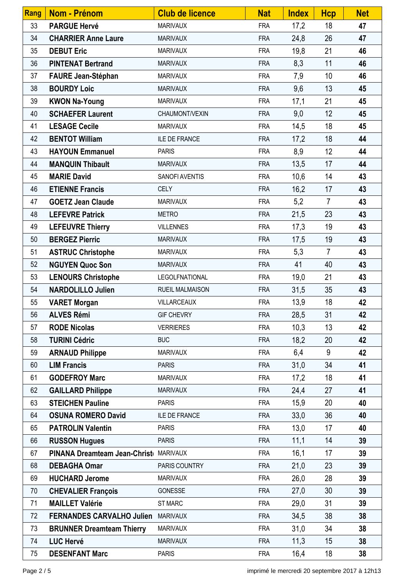| <b>Rang</b> | <b>Nom - Prénom</b>                    | <b>Club de licence</b> | <b>Nat</b> | <b>Index</b> | <b>Hcp</b>     | <b>Net</b> |
|-------------|----------------------------------------|------------------------|------------|--------------|----------------|------------|
| 33          | <b>PARGUE Hervé</b>                    | <b>MARIVAUX</b>        | <b>FRA</b> | 17,2         | 18             | 47         |
| 34          | <b>CHARRIER Anne Laure</b>             | <b>MARIVAUX</b>        | <b>FRA</b> | 24,8         | 26             | 47         |
| 35          | <b>DEBUT Eric</b>                      | <b>MARIVAUX</b>        | <b>FRA</b> | 19,8         | 21             | 46         |
| 36          | <b>PINTENAT Bertrand</b>               | <b>MARIVAUX</b>        | <b>FRA</b> | 8,3          | 11             | 46         |
| 37          | <b>FAURE Jean-Stéphan</b>              | <b>MARIVAUX</b>        | <b>FRA</b> | 7,9          | 10             | 46         |
| 38          | <b>BOURDY Loic</b>                     | <b>MARIVAUX</b>        | <b>FRA</b> | 9,6          | 13             | 45         |
| 39          | <b>KWON Na-Young</b>                   | <b>MARIVAUX</b>        | <b>FRA</b> | 17,1         | 21             | 45         |
| 40          | <b>SCHAEFER Laurent</b>                | CHAUMONT/VEXIN         | <b>FRA</b> | 9,0          | 12             | 45         |
| 41          | <b>LESAGE Cecile</b>                   | <b>MARIVAUX</b>        | <b>FRA</b> | 14,5         | 18             | 45         |
| 42          | <b>BENTOT William</b>                  | <b>ILE DE FRANCE</b>   | <b>FRA</b> | 17,2         | 18             | 44         |
| 43          | <b>HAYOUN Emmanuel</b>                 | <b>PARIS</b>           | <b>FRA</b> | 8,9          | 12             | 44         |
| 44          | <b>MANQUIN Thibault</b>                | <b>MARIVAUX</b>        | <b>FRA</b> | 13,5         | 17             | 44         |
| 45          | <b>MARIE David</b>                     | SANOFI AVENTIS         | <b>FRA</b> | 10,6         | 14             | 43         |
| 46          | <b>ETIENNE Francis</b>                 | <b>CELY</b>            | <b>FRA</b> | 16,2         | 17             | 43         |
| 47          | <b>GOETZ Jean Claude</b>               | <b>MARIVAUX</b>        | <b>FRA</b> | 5,2          | $\overline{7}$ | 43         |
| 48          | <b>LEFEVRE Patrick</b>                 | <b>METRO</b>           | <b>FRA</b> | 21,5         | 23             | 43         |
| 49          | <b>LEFEUVRE Thierry</b>                | <b>VILLENNES</b>       | <b>FRA</b> | 17,3         | 19             | 43         |
| 50          | <b>BERGEZ Pierric</b>                  | <b>MARIVAUX</b>        | <b>FRA</b> | 17,5         | 19             | 43         |
| 51          | <b>ASTRUC Christophe</b>               | <b>MARIVAUX</b>        | <b>FRA</b> | 5,3          | $\overline{7}$ | 43         |
| 52          | <b>NGUYEN Quoc Son</b>                 | <b>MARIVAUX</b>        | <b>FRA</b> | 41           | 40             | 43         |
| 53          | <b>LENOURS Christophe</b>              | LEGOLFNATIONAL         | <b>FRA</b> | 19,0         | 21             | 43         |
| 54          | <b>NARDOLILLO Julien</b>               | <b>RUEIL MALMAISON</b> | <b>FRA</b> | 31,5         | 35             | 43         |
| 55          | <b>VARET Morgan</b>                    | VILLARCEAUX            | <b>FRA</b> | 13,9         | 18             | 42         |
| 56          | <b>ALVES Rémi</b>                      | <b>GIF CHEVRY</b>      | FRA        | 28,5         | 31             | 42         |
| 57          | <b>RODE Nicolas</b>                    | <b>VERRIERES</b>       | <b>FRA</b> | 10,3         | 13             | 42         |
| 58          | <b>TURINI Cédric</b>                   | <b>BUC</b>             | <b>FRA</b> | 18,2         | 20             | 42         |
| 59          | <b>ARNAUD Philippe</b>                 | <b>MARIVAUX</b>        | <b>FRA</b> | 6,4          | 9              | 42         |
| 60          | <b>LIM Francis</b>                     | <b>PARIS</b>           | <b>FRA</b> | 31,0         | 34             | 41         |
| 61          | <b>GODEFROY Marc</b>                   | <b>MARIVAUX</b>        | <b>FRA</b> | 17,2         | 18             | 41         |
| 62          | <b>GAILLARD Philippe</b>               | <b>MARIVAUX</b>        | <b>FRA</b> | 24,4         | 27             | 41         |
| 63          | <b>STEICHEN Pauline</b>                | <b>PARIS</b>           | <b>FRA</b> | 15,9         | 20             | 40         |
| 64          | <b>OSUNA ROMERO David</b>              | ILE DE FRANCE          | <b>FRA</b> | 33,0         | 36             | 40         |
| 65          | <b>PATROLIN Valentin</b>               | <b>PARIS</b>           | <b>FRA</b> | 13,0         | 17             | 40         |
| 66          | <b>RUSSON Hugues</b>                   | <b>PARIS</b>           | <b>FRA</b> | 11,1         | 14             | 39         |
| 67          | PINANA Dreamteam Jean-Christ( MARIVAUX |                        | <b>FRA</b> | 16,1         | 17             | 39         |
| 68          | <b>DEBAGHA Omar</b>                    | PARIS COUNTRY          | <b>FRA</b> | 21,0         | 23             | 39         |
| 69          | <b>HUCHARD Jerome</b>                  | <b>MARIVAUX</b>        | <b>FRA</b> | 26,0         | 28             | 39         |
| 70          | <b>CHEVALIER François</b>              | GONESSE                | <b>FRA</b> | 27,0         | 30             | 39         |
| 71          | <b>MAILLET Valérie</b>                 | <b>ST MARC</b>         | <b>FRA</b> | 29,0         | 31             | 39         |
| 72          | FERNANDES CARVALHO Julien MARIVAUX     |                        | <b>FRA</b> | 34,5         | 38             | 38         |
| 73          | <b>BRUNNER Dreamteam Thierry</b>       | <b>MARIVAUX</b>        | <b>FRA</b> | 31,0         | 34             | 38         |
| 74          | <b>LUC Hervé</b>                       | <b>MARIVAUX</b>        | <b>FRA</b> | 11,3         | 15             | 38         |
| 75          | <b>DESENFANT Marc</b>                  | <b>PARIS</b>           | <b>FRA</b> | 16,4         | 18             | 38         |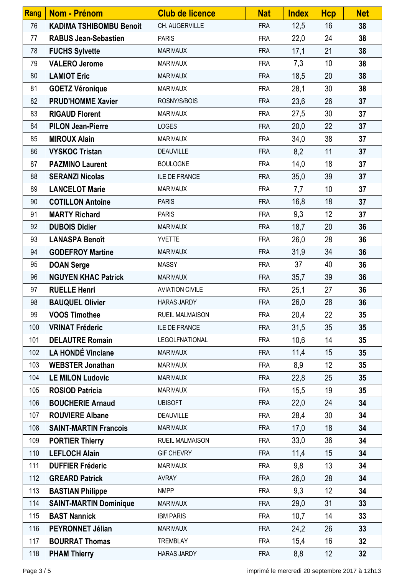| <b>Rang</b> | Nom - Prénom                   | <b>Club de licence</b> | <b>Nat</b> | <b>Index</b> | <b>Hcp</b> | <b>Net</b> |
|-------------|--------------------------------|------------------------|------------|--------------|------------|------------|
| 76          | <b>KADIMA TSHIBOMBU Benoit</b> | CH. AUGERVILLE         | <b>FRA</b> | 12,5         | 16         | 38         |
| 77          | <b>RABUS Jean-Sebastien</b>    | <b>PARIS</b>           | <b>FRA</b> | 22,0         | 24         | 38         |
| 78          | <b>FUCHS Sylvette</b>          | <b>MARIVAUX</b>        | <b>FRA</b> | 17,1         | 21         | 38         |
| 79          | <b>VALERO Jerome</b>           | <b>MARIVAUX</b>        | <b>FRA</b> | 7,3          | 10         | 38         |
| 80          | <b>LAMIOT Eric</b>             | <b>MARIVAUX</b>        | <b>FRA</b> | 18,5         | 20         | 38         |
| 81          | <b>GOETZ Véronique</b>         | <b>MARIVAUX</b>        | <b>FRA</b> | 28,1         | 30         | 38         |
| 82          | <b>PRUD'HOMME Xavier</b>       | ROSNY/S/BOIS           | <b>FRA</b> | 23,6         | 26         | 37         |
| 83          | <b>RIGAUD Florent</b>          | <b>MARIVAUX</b>        | <b>FRA</b> | 27,5         | 30         | 37         |
| 84          | <b>PILON Jean-Pierre</b>       | <b>LOGES</b>           | <b>FRA</b> | 20,0         | 22         | 37         |
| 85          | <b>MIROUX Alain</b>            | <b>MARIVAUX</b>        | <b>FRA</b> | 34,0         | 38         | 37         |
| 86          | <b>VYSKOC Tristan</b>          | <b>DEAUVILLE</b>       | <b>FRA</b> | 8,2          | 11         | 37         |
| 87          | <b>PAZMINO Laurent</b>         | <b>BOULOGNE</b>        | <b>FRA</b> | 14,0         | 18         | 37         |
| 88          | <b>SERANZI Nicolas</b>         | ILE DE FRANCE          | <b>FRA</b> | 35,0         | 39         | 37         |
| 89          | <b>LANCELOT Marie</b>          | <b>MARIVAUX</b>        | <b>FRA</b> | 7,7          | 10         | 37         |
| 90          | <b>COTILLON Antoine</b>        | <b>PARIS</b>           | <b>FRA</b> | 16,8         | 18         | 37         |
| 91          | <b>MARTY Richard</b>           | <b>PARIS</b>           | <b>FRA</b> | 9,3          | 12         | 37         |
| 92          | <b>DUBOIS Didier</b>           | <b>MARIVAUX</b>        | <b>FRA</b> | 18,7         | 20         | 36         |
| 93          | <b>LANASPA Benoît</b>          | <b>YVETTE</b>          | <b>FRA</b> | 26,0         | 28         | 36         |
| 94          | <b>GODEFROY Martine</b>        | <b>MARIVAUX</b>        | <b>FRA</b> | 31,9         | 34         | 36         |
| 95          | <b>DOAN Serge</b>              | <b>MASSY</b>           | <b>FRA</b> | 37           | 40         | 36         |
| 96          | <b>NGUYEN KHAC Patrick</b>     | <b>MARIVAUX</b>        | <b>FRA</b> | 35,7         | 39         | 36         |
| 97          | <b>RUELLE Henri</b>            | <b>AVIATION CIVILE</b> | <b>FRA</b> | 25,1         | 27         | 36         |
| 98          | <b>BAUQUEL Olivier</b>         | <b>HARAS JARDY</b>     | <b>FRA</b> | 26,0         | 28         | 36         |
| 99          | <b>VOOS Timothee</b>           | <b>RUEIL MALMAISON</b> | FRA        | 20,4         | 22         | 35         |
| 100         | <b>VRINAT Fréderic</b>         | <b>ILE DE FRANCE</b>   | <b>FRA</b> | 31,5         | 35         | 35         |
| 101         | <b>DELAUTRE Romain</b>         | <b>LEGOLFNATIONAL</b>  | <b>FRA</b> | 10,6         | 14         | 35         |
| 102         | <b>LA HONDÉ Vinciane</b>       | <b>MARIVAUX</b>        | <b>FRA</b> | 11,4         | 15         | 35         |
| 103         | <b>WEBSTER Jonathan</b>        | <b>MARIVAUX</b>        | <b>FRA</b> | 8,9          | 12         | 35         |
| 104         | <b>LE MILON Ludovic</b>        | <b>MARIVAUX</b>        | <b>FRA</b> | 22,8         | 25         | 35         |
| 105         | <b>ROSIOD Patricia</b>         | <b>MARIVAUX</b>        | <b>FRA</b> | 15,5         | 19         | 35         |
| 106         | <b>BOUCHERIE Arnaud</b>        | <b>UBISOFT</b>         | <b>FRA</b> | 22,0         | 24         | 34         |
| 107         | <b>ROUVIERE Albane</b>         | <b>DEAUVILLE</b>       | <b>FRA</b> | 28,4         | 30         | 34         |
| 108         | <b>SAINT-MARTIN Francois</b>   | <b>MARIVAUX</b>        | <b>FRA</b> | 17,0         | 18         | 34         |
| 109         | <b>PORTIER Thierry</b>         | <b>RUEIL MALMAISON</b> | <b>FRA</b> | 33,0         | 36         | 34         |
| 110         | <b>LEFLOCH Alain</b>           | <b>GIF CHEVRY</b>      | <b>FRA</b> | 11,4         | 15         | 34         |
| 111         | <b>DUFFIER Fréderic</b>        | <b>MARIVAUX</b>        | <b>FRA</b> | 9,8          | 13         | 34         |
| 112         | <b>GREARD Patrick</b>          | <b>AVRAY</b>           | <b>FRA</b> | 26,0         | 28         | 34         |
| 113         | <b>BASTIAN Philippe</b>        | <b>NMPP</b>            | <b>FRA</b> | 9,3          | 12         | 34         |
| 114         | <b>SAINT-MARTIN Dominique</b>  | <b>MARIVAUX</b>        | <b>FRA</b> | 29,0         | 31         | 33         |
| 115         | <b>BAST Nannick</b>            | <b>IBM PARIS</b>       | <b>FRA</b> | 10,7         | 14         | 33         |
| 116         | PEYRONNET Jélian               | <b>MARIVAUX</b>        | <b>FRA</b> | 24,2         | 26         | 33         |
| 117         | <b>BOURRAT Thomas</b>          | <b>TREMBLAY</b>        | <b>FRA</b> | 15,4         | 16         | 32         |
| 118         | <b>PHAM Thierry</b>            | <b>HARAS JARDY</b>     | <b>FRA</b> | 8,8          | 12         | 32         |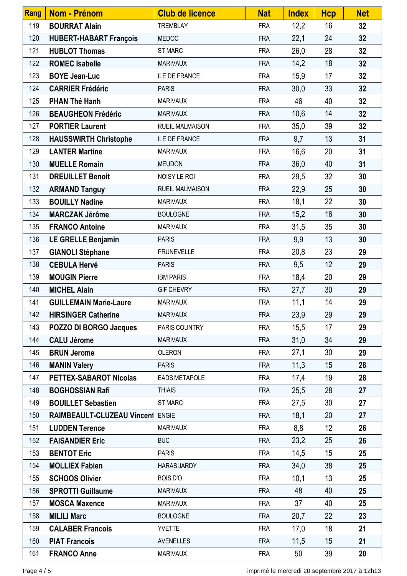| Rang | <b>Nom - Prénom</b>              | <b>Club de licence</b> | <b>Nat</b> | <b>Index</b> | <b>Hcp</b> | <b>Net</b> |
|------|----------------------------------|------------------------|------------|--------------|------------|------------|
| 119  | <b>BOURRAT Alain</b>             | <b>TREMBLAY</b>        | <b>FRA</b> | 12,2         | 16         | 32         |
| 120  | <b>HUBERT-HABART François</b>    | <b>MEDOC</b>           | <b>FRA</b> | 22,1         | 24         | 32         |
| 121  | <b>HUBLOT Thomas</b>             | <b>ST MARC</b>         | <b>FRA</b> | 26,0         | 28         | 32         |
| 122  | <b>ROMEC Isabelle</b>            | <b>MARIVAUX</b>        | <b>FRA</b> | 14,2         | 18         | 32         |
| 123  | <b>BOYE Jean-Luc</b>             | <b>ILE DE FRANCE</b>   | <b>FRA</b> | 15,9         | 17         | 32         |
| 124  | <b>CARRIER Frédéric</b>          | <b>PARIS</b>           | <b>FRA</b> | 30,0         | 33         | 32         |
| 125  | <b>PHAN Thé Hanh</b>             | <b>MARIVAUX</b>        | <b>FRA</b> | 46           | 40         | 32         |
| 126  | <b>BEAUGHEON Frédéric</b>        | <b>MARIVAUX</b>        | <b>FRA</b> | 10,6         | 14         | 32         |
| 127  | <b>PORTIER Laurent</b>           | <b>RUEIL MALMAISON</b> | <b>FRA</b> | 35,0         | 39         | 32         |
| 128  | <b>HAUSSWIRTH Christophe</b>     | ILE DE FRANCE          | <b>FRA</b> | 9,7          | 13         | 31         |
| 129  | <b>LANTER Martine</b>            | <b>MARIVAUX</b>        | <b>FRA</b> | 16,6         | 20         | 31         |
| 130  | <b>MUELLE Romain</b>             | <b>MEUDON</b>          | <b>FRA</b> | 36,0         | 40         | 31         |
| 131  | <b>DREUILLET Benoit</b>          | NOISY LE ROI           | <b>FRA</b> | 29,5         | 32         | 30         |
| 132  | <b>ARMAND Tanguy</b>             | <b>RUEIL MALMAISON</b> | <b>FRA</b> | 22,9         | 25         | 30         |
| 133  | <b>BOUILLY Nadine</b>            | <b>MARIVAUX</b>        | <b>FRA</b> | 18,1         | 22         | 30         |
| 134  | <b>MARCZAK Jérôme</b>            | <b>BOULOGNE</b>        | <b>FRA</b> | 15,2         | 16         | 30         |
| 135  | <b>FRANCO Antoine</b>            | <b>MARIVAUX</b>        | <b>FRA</b> | 31,5         | 35         | 30         |
| 136  | LE GRELLE Benjamin               | <b>PARIS</b>           | <b>FRA</b> | 9,9          | 13         | 30         |
| 137  | <b>GIANOLI Stéphane</b>          | PRUNEVELLE             | <b>FRA</b> | 20,8         | 23         | 29         |
| 138  | <b>CEBULA Hervé</b>              | <b>PARIS</b>           | <b>FRA</b> | 9,5          | 12         | 29         |
| 139  | <b>MOUGIN Pierre</b>             | <b>IBM PARIS</b>       | <b>FRA</b> | 18,4         | 20         | 29         |
| 140  | <b>MICHEL Alain</b>              | <b>GIF CHEVRY</b>      | <b>FRA</b> | 27,7         | 30         | 29         |
| 141  | <b>GUILLEMAIN Marie-Laure</b>    | <b>MARIVAUX</b>        | <b>FRA</b> | 11,1         | 14         | 29         |
| 142  | <b>HIRSINGER Catherine</b>       | <b>MARIVAUX</b>        | FRA        | 23,9         | 29         | 29         |
| 143  | POZZO DI BORGO Jacques           | PARIS COUNTRY          | <b>FRA</b> | 15,5         | 17         | 29         |
| 144  | <b>CALU Jérome</b>               | <b>MARIVAUX</b>        | <b>FRA</b> | 31,0         | 34         | 29         |
| 145  | <b>BRUN Jerome</b>               | <b>OLERON</b>          | <b>FRA</b> | 27,1         | 30         | 29         |
| 146  | <b>MANIN Valery</b>              | <b>PARIS</b>           | <b>FRA</b> | 11,3         | 15         | 28         |
| 147  | <b>PETTEX-SABAROT Nicolas</b>    | <b>EADS METAPOLE</b>   | <b>FRA</b> | 17,4         | 19         | 28         |
| 148  | <b>BOGHOSSIAN Rafi</b>           | <b>THIAIS</b>          | <b>FRA</b> | 25,5         | 28         | 27         |
| 149  | <b>BOUILLET Sebastien</b>        | <b>ST MARC</b>         | <b>FRA</b> | 27,5         | 30         | 27         |
| 150  | RAIMBEAULT-CLUZEAU Vincent ENGIE |                        | <b>FRA</b> | 18,1         | 20         | 27         |
| 151  | <b>LUDDEN Terence</b>            | <b>MARIVAUX</b>        | <b>FRA</b> | 8,8          | 12         | 26         |
| 152  | <b>FAISANDIER Eric</b>           | <b>BUC</b>             | <b>FRA</b> | 23,2         | 25         | 26         |
| 153  | <b>BENTOT Eric</b>               | <b>PARIS</b>           | <b>FRA</b> | 14,5         | 15         | 25         |
| 154  | <b>MOLLIEX Fabien</b>            | <b>HARAS JARDY</b>     | <b>FRA</b> | 34,0         | 38         | 25         |
| 155  | <b>SCHOOS Olivier</b>            | <b>BOIS D'O</b>        | <b>FRA</b> | 10,1         | 13         | 25         |
| 156  | <b>SPROTTI Guillaume</b>         | <b>MARIVAUX</b>        | <b>FRA</b> | 48           | 40         | 25         |
| 157  | <b>MOSCA Maxence</b>             | <b>MARIVAUX</b>        | <b>FRA</b> | 37           | 40         | 25         |
| 158  | <b>MILILI Marc</b>               | <b>BOULOGNE</b>        | <b>FRA</b> | 20,7         | 22         | 23         |
| 159  | <b>CALABER Francois</b>          | <b>YVETTE</b>          | <b>FRA</b> | 17,0         | 18         | 21         |
| 160  | <b>PIAT Francois</b>             | <b>AVENELLES</b>       | <b>FRA</b> | 11,5         | 15         | 21         |
| 161  | <b>FRANCO Anne</b>               | <b>MARIVAUX</b>        | <b>FRA</b> | 50           | 39         | 20         |